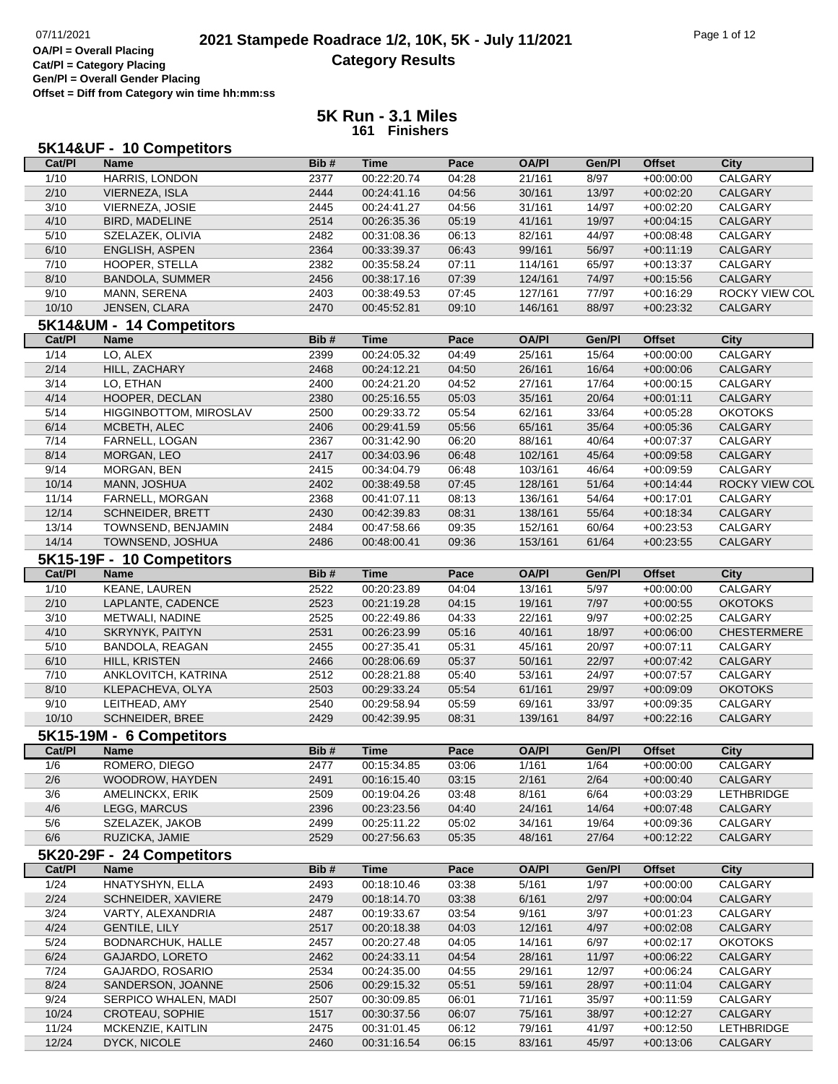**OA/Pl = Overall Placing**

**Cat/Pl = Category Placing Gen/Pl = Overall Gender Placing**

**Offset = Diff from Category win time hh:mm:ss**

|                | 5K14&UF - 10 Competitors      |      |             |               |                        |                |                              |                        |
|----------------|-------------------------------|------|-------------|---------------|------------------------|----------------|------------------------------|------------------------|
| Cat/PI         | <b>Name</b>                   | Bib# | <b>Time</b> | Pace          | <b>OA/PI</b>           | Gen/Pl         | <b>Offset</b>                | <b>City</b>            |
| 1/10           | HARRIS, LONDON                | 2377 | 00:22:20.74 | 04:28         | 21/161                 | 8/97           | $+00:00:00$                  | <b>CALGARY</b>         |
| 2/10           | VIERNEZA, ISLA                | 2444 | 00:24:41.16 | 04:56         | 30/161                 | 13/97          | $+00:02:20$                  | <b>CALGARY</b>         |
| 3/10           | VIERNEZA, JOSIE               | 2445 | 00:24:41.27 | 04:56         | 31/161                 | 14/97          | $+00:02:20$                  | CALGARY                |
| 4/10           | BIRD, MADELINE                | 2514 | 00:26:35.36 | 05:19         | 41/161                 | 19/97          | $+00:04:15$                  | CALGARY                |
| 5/10           | SZELAZEK, OLIVIA              | 2482 | 00:31:08.36 | 06:13         | 82/161                 | 44/97          | $+00:08:48$                  | CALGARY                |
| 6/10           | <b>ENGLISH, ASPEN</b>         | 2364 | 00:33:39.37 | 06:43         | 99/161                 | 56/97          | $+00:11:19$                  | CALGARY                |
| 7/10           | HOOPER, STELLA                | 2382 | 00:35:58.24 | 07:11         | 114/161                | 65/97          | $+00:13:37$                  | CALGARY                |
| 8/10           | <b>BANDOLA, SUMMER</b>        | 2456 | 00:38:17.16 | 07:39         | 124/161                | 74/97          | $+00:15:56$                  | CALGARY                |
| 9/10           | MANN, SERENA                  | 2403 | 00:38:49.53 | 07:45         | 127/161                | 77/97          | $+00:16:29$                  | ROCKY VIEW COL         |
| 10/10          | JENSEN, CLARA                 | 2470 | 00:45:52.81 | 09:10         | 146/161                | 88/97          | $+00:23:32$                  | CALGARY                |
|                | 5K14&UM - 14 Competitors      |      |             |               |                        |                |                              |                        |
| Cat/PI         | <b>Name</b>                   | Bib# | <b>Time</b> | Pace          | <b>OA/PI</b>           | Gen/Pl         | <b>Offset</b>                | <b>City</b>            |
| 1/14           | LO, ALEX                      | 2399 | 00:24:05.32 | 04:49         | 25/161                 | 15/64          | $+00:00:00$                  | <b>CALGARY</b>         |
| 2/14           | HILL, ZACHARY                 | 2468 | 00:24:12.21 | 04:50         | 26/161                 | 16/64          | $+00:00:06$                  | <b>CALGARY</b>         |
| 3/14           | LO, ETHAN                     | 2400 | 00:24:21.20 | 04:52         | 27/161                 | 17/64          | $+00:00:15$                  | CALGARY                |
| 4/14           | HOOPER, DECLAN                | 2380 | 00:25:16.55 | 05:03         | 35/161                 | 20/64          | $+00:01:11$                  | CALGARY                |
| 5/14           | <b>HIGGINBOTTOM, MIROSLAV</b> | 2500 | 00:29:33.72 | 05:54         | 62/161                 | 33/64          | $+00:05:28$                  | <b>OKOTOKS</b>         |
| 6/14           | MCBETH, ALEC                  | 2406 | 00:29:41.59 | 05:56         | 65/161                 | 35/64          | $+00:05:36$                  | CALGARY                |
| 7/14           | FARNELL, LOGAN                | 2367 | 00:31:42.90 | 06:20         | 88/161                 | 40/64          | $+00.07:37$                  | CALGARY                |
| 8/14           | MORGAN, LEO                   | 2417 | 00:34:03.96 | 06:48         | 102/161                | 45/64          | $+00:09:58$                  | CALGARY                |
| 9/14           | MORGAN, BEN                   | 2415 | 00:34:04.79 | 06:48         | 103/161                | 46/64          | $+00:09:59$                  | CALGARY                |
| 10/14          | MANN, JOSHUA                  | 2402 | 00:38:49.58 | 07:45         | 128/161                | 51/64          | $+00:14:44$                  | ROCKY VIEW COU         |
| 11/14          | FARNELL, MORGAN               | 2368 | 00:41:07.11 | 08:13         | 136/161                | 54/64          | $+00:17:01$                  | CALGARY                |
| 12/14          | SCHNEIDER, BRETT              | 2430 | 00:42:39.83 | 08:31         | 138/161                | 55/64          | $+00:18:34$                  | <b>CALGARY</b>         |
| 13/14          | TOWNSEND, BENJAMIN            | 2484 | 00:47:58.66 | 09:35         | 152/161                | 60/64          | $+00:23:53$                  | CALGARY                |
| 14/14          | TOWNSEND, JOSHUA              | 2486 | 00:48:00.41 | 09:36         | 153/161                | 61/64          | $+00:23:55$                  | CALGARY                |
|                |                               |      |             |               |                        |                |                              |                        |
|                | 5K15-19F - 10 Competitors     | Bib# | <b>Time</b> |               |                        |                |                              |                        |
| Cat/PI<br>1/10 | <b>Name</b><br>KEANE, LAUREN  | 2522 | 00:20:23.89 | Pace<br>04:04 | <b>OA/PI</b><br>13/161 | Gen/Pl<br>5/97 | <b>Offset</b><br>$+00:00:00$ | <b>City</b><br>CALGARY |
|                |                               |      |             |               |                        |                |                              |                        |
| 2/10           | LAPLANTE, CADENCE             | 2523 | 00:21:19.28 | 04:15         | 19/161                 | 7/97           | $+00:00:55$                  | <b>OKOTOKS</b>         |
| 3/10           | METWALI, NADINE               | 2525 | 00:22:49.86 | 04:33         | 22/161                 | 9/97           | $+00:02:25$                  | CALGARY                |
| 4/10           | <b>SKRYNYK, PAITYN</b>        | 2531 | 00:26:23.99 | 05:16         | 40/161                 | 18/97          | $+00:06:00$                  | <b>CHESTERMERE</b>     |
| 5/10           | BANDOLA, REAGAN               | 2455 | 00:27:35.41 | 05:31         | 45/161                 | 20/97          | $+00:07:11$                  | CALGARY                |
| 6/10           | HILL, KRISTEN                 | 2466 | 00:28:06.69 | 05:37         | 50/161                 | 22/97          | $+00:07:42$                  | CALGARY                |
| 7/10           | ANKLOVITCH, KATRINA           | 2512 | 00:28:21.88 | 05:40         | 53/161                 | 24/97          | $+00:07:57$                  | CALGARY                |
| 8/10           | KLEPACHEVA, OLYA              | 2503 | 00:29:33.24 | 05:54         | 61/161                 | 29/97          | $+00:09:09$                  | <b>OKOTOKS</b>         |
| 9/10           | LEITHEAD, AMY                 | 2540 | 00:29:58.94 | 05:59         | 69/161                 | 33/97          | $+00:09:35$                  | CALGARY                |
| 10/10          | SCHNEIDER, BREE               | 2429 | 00:42:39.95 | 08:31         | 139/161                | 84/97          | $+00:22:16$                  | CALGARY                |
|                | 5K15-19M - 6 Competitors      |      |             |               |                        |                |                              |                        |
| Cat/PI         | <b>Name</b>                   | Bib# | <b>Time</b> | Pace          | <b>OA/PI</b>           | Gen/Pl         | <b>Offset</b>                | <b>City</b>            |
| 1/6            | ROMERO, DIEGO                 | 2477 | 00:15:34.85 | 03:06         | 1/161                  | 1/64           | $+00:00:00$                  | CALGARY                |
| 2/6            | WOODROW, HAYDEN               | 2491 | 00:16:15.40 | 03:15         | 2/161                  | 2/64           | $+00:00:40$                  | CALGARY                |
| 3/6            | AMELINCKX, ERIK               | 2509 | 00:19:04.26 | 03:48         | 8/161                  | 6/64           | $+00:03:29$                  | LETHBRIDGE             |
| 4/6            | LEGG, MARCUS                  | 2396 | 00:23:23.56 | 04:40         | 24/161                 | 14/64          | $+00:07:48$                  | CALGARY                |
| 5/6            | SZELAZEK, JAKOB               | 2499 | 00:25:11.22 | 05:02         | 34/161                 | 19/64          | $+00:09:36$                  | CALGARY                |
| 6/6            | RUZICKA, JAMIE                | 2529 | 00:27:56.63 | 05:35         | 48/161                 | 27/64          | $+00:12:22$                  | CALGARY                |
|                | 5K20-29F - 24 Competitors     |      |             |               |                        |                |                              |                        |
| Cat/PI         | <b>Name</b>                   | Bib# | <b>Time</b> | Pace          | <b>OA/PI</b>           | Gen/Pl         | <b>Offset</b>                | <b>City</b>            |
| 1/24           | HNATYSHYN, ELLA               | 2493 | 00:18:10.46 | 03:38         | 5/161                  | 1/97           | $+00:00:00$                  | CALGARY                |
| 2/24           | SCHNEIDER, XAVIERE            | 2479 | 00:18:14.70 | 03:38         | 6/161                  | 2/97           | $+00:00:04$                  | CALGARY                |
| 3/24           | VARTY, ALEXANDRIA             | 2487 | 00:19:33.67 | 03:54         | 9/161                  | 3/97           | $+00:01:23$                  | CALGARY                |
| 4/24           | <b>GENTILE, LILY</b>          | 2517 | 00:20:18.38 | 04:03         | 12/161                 | 4/97           | $+00:02:08$                  | CALGARY                |
| 5/24           | BODNARCHUK, HALLE             | 2457 | 00:20:27.48 | 04:05         | 14/161                 | 6/97           | $+00:02:17$                  | <b>OKOTOKS</b>         |
| 6/24           | GAJARDO, LORETO               | 2462 | 00:24:33.11 | 04:54         | 28/161                 | 11/97          | $+00:06:22$                  | CALGARY                |
| 7/24           | GAJARDO, ROSARIO              | 2534 | 00:24:35.00 | 04:55         | 29/161                 | 12/97          | $+00:06:24$                  | CALGARY                |
| 8/24           | SANDERSON, JOANNE             | 2506 | 00:29:15.32 | 05:51         | 59/161                 | 28/97          | $+00:11:04$                  | CALGARY                |
| 9/24           | SERPICO WHALEN, MADI          | 2507 | 00:30:09.85 | 06:01         | 71/161                 | 35/97          | $+00:11:59$                  | CALGARY                |
| 10/24          | CROTEAU, SOPHIE               | 1517 | 00:30:37.56 | 06:07         | 75/161                 | 38/97          | $+00:12:27$                  | CALGARY                |
| 11/24          | MCKENZIE, KAITLIN             | 2475 | 00:31:01.45 | 06:12         | 79/161                 | 41/97          | $+00:12:50$                  | LETHBRIDGE             |
| 12/24          |                               | 2460 |             |               |                        |                |                              |                        |
|                | DYCK, NICOLE                  |      | 00:31:16.54 | 06:15         | 83/161                 | 45/97          | $+00:13:06$                  | CALGARY                |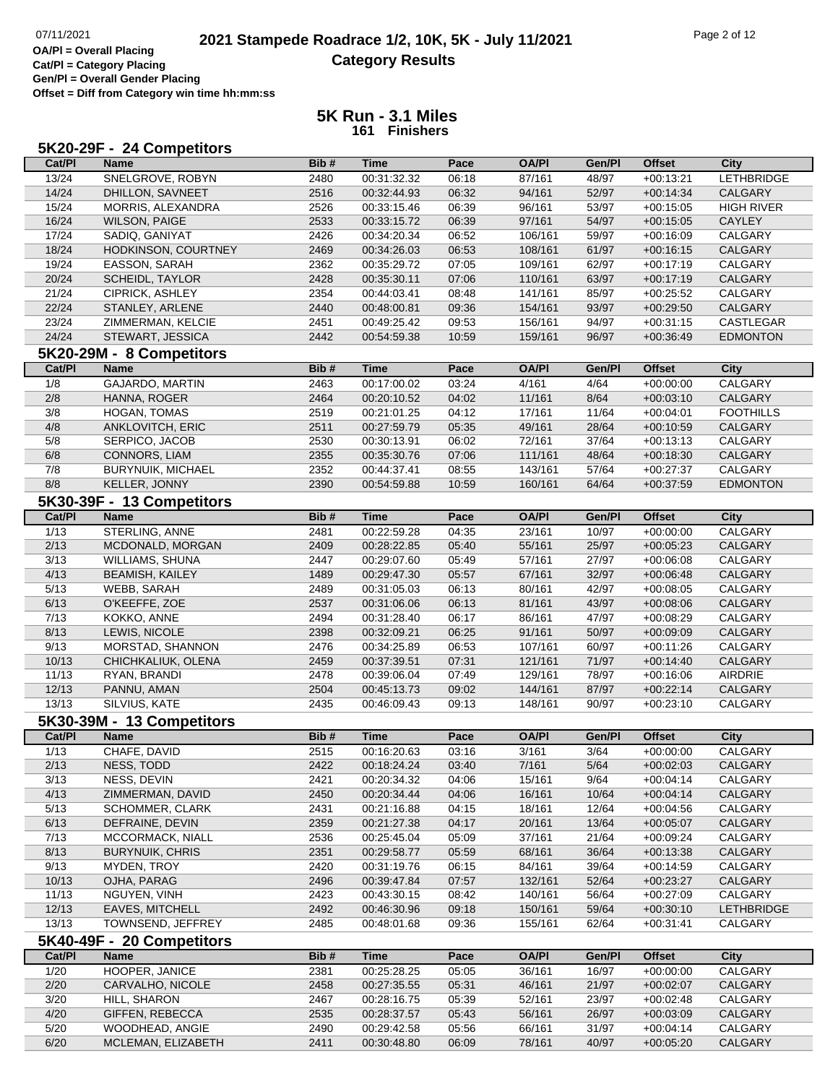**OA/Pl = Overall Placing**

**Cat/Pl = Category Placing Gen/Pl = Overall Gender Placing**

**Offset = Diff from Category win time hh:mm:ss**

|        | 5K20-29F - 24 Competitors |      |             |       |              |        |               |                   |
|--------|---------------------------|------|-------------|-------|--------------|--------|---------------|-------------------|
| Cat/PI | <b>Name</b>               | Bib# | <b>Time</b> | Pace  | <b>OA/PI</b> | Gen/Pl | <b>Offset</b> | <b>City</b>       |
| 13/24  | SNELGROVE, ROBYN          | 2480 | 00:31:32.32 | 06:18 | 87/161       | 48/97  | $+00:13:21$   | <b>LETHBRIDGE</b> |
| 14/24  | DHILLON, SAVNEET          | 2516 | 00:32:44.93 | 06:32 | 94/161       | 52/97  | $+00:14:34$   | <b>CALGARY</b>    |
| 15/24  | MORRIS, ALEXANDRA         | 2526 | 00:33:15.46 | 06:39 | 96/161       | 53/97  | $+00:15:05$   | <b>HIGH RIVER</b> |
| 16/24  | <b>WILSON, PAIGE</b>      | 2533 | 00:33:15.72 | 06:39 | 97/161       | 54/97  | $+00:15:05$   | CAYLEY            |
| 17/24  | SADIQ, GANIYAT            | 2426 | 00:34:20.34 | 06:52 | 106/161      | 59/97  | $+00:16:09$   | CALGARY           |
| 18/24  | HODKINSON, COURTNEY       | 2469 | 00:34:26.03 | 06:53 | 108/161      | 61/97  | $+00:16:15$   | CALGARY           |
| 19/24  | EASSON, SARAH             | 2362 | 00:35:29.72 | 07:05 | 109/161      | 62/97  | $+00:17:19$   | CALGARY           |
| 20/24  | SCHEIDL, TAYLOR           | 2428 | 00:35:30.11 | 07:06 | 110/161      | 63/97  | $+00:17:19$   | CALGARY           |
| 21/24  | CIPRICK, ASHLEY           | 2354 | 00:44:03.41 | 08:48 | 141/161      | 85/97  | $+00:25:52$   | CALGARY           |
| 22/24  | STANLEY, ARLENE           | 2440 | 00:48:00.81 | 09:36 | 154/161      | 93/97  | $+00:29:50$   | <b>CALGARY</b>    |
| 23/24  | ZIMMERMAN, KELCIE         | 2451 | 00:49:25.42 | 09:53 | 156/161      | 94/97  | $+00:31:15$   | CASTLEGAR         |
| 24/24  | STEWART, JESSICA          | 2442 | 00:54:59.38 | 10:59 | 159/161      | 96/97  | $+00:36:49$   | <b>EDMONTON</b>   |
|        | 5K20-29M - 8 Competitors  |      |             |       |              |        |               |                   |
| Cat/PI | <b>Name</b>               | Bib# | <b>Time</b> | Pace  | <b>OA/PI</b> | Gen/Pl | <b>Offset</b> | <b>City</b>       |
| 1/8    | <b>GAJARDO, MARTIN</b>    | 2463 | 00:17:00.02 | 03:24 | 4/161        | 4/64   | $+00:00:00$   | <b>CALGARY</b>    |
|        |                           |      |             |       |              |        |               |                   |
| 2/8    | HANNA, ROGER              | 2464 | 00:20:10.52 | 04:02 | 11/161       | 8/64   | $+00:03:10$   | CALGARY           |
| 3/8    | HOGAN, TOMAS              | 2519 | 00:21:01.25 | 04:12 | 17/161       | 11/64  | $+00:04:01$   | <b>FOOTHILLS</b>  |
| 4/8    | ANKLOVITCH, ERIC          | 2511 | 00:27:59.79 | 05:35 | 49/161       | 28/64  | $+00:10:59$   | CALGARY           |
| 5/8    | SERPICO, JACOB            | 2530 | 00:30:13.91 | 06:02 | 72/161       | 37/64  | $+00:13:13$   | CALGARY           |
| 6/8    | CONNORS, LIAM             | 2355 | 00:35:30.76 | 07:06 | 111/161      | 48/64  | $+00:18:30$   | CALGARY           |
| 7/8    | <b>BURYNUIK, MICHAEL</b>  | 2352 | 00:44:37.41 | 08:55 | 143/161      | 57/64  | $+00:27:37$   | CALGARY           |
| 8/8    | KELLER, JONNY             | 2390 | 00:54:59.88 | 10:59 | 160/161      | 64/64  | $+00:37:59$   | <b>EDMONTON</b>   |
|        | 5K30-39F - 13 Competitors |      |             |       |              |        |               |                   |
| Cat/PI | <b>Name</b>               | Bib# | <b>Time</b> | Pace  | <b>OA/PI</b> | Gen/Pl | <b>Offset</b> | <b>City</b>       |
| 1/13   | STERLING, ANNE            | 2481 | 00:22:59.28 | 04:35 | 23/161       | 10/97  | $+00:00:00$   | <b>CALGARY</b>    |
| 2/13   | MCDONALD, MORGAN          | 2409 | 00:28:22.85 | 05:40 | 55/161       | 25/97  | $+00:05:23$   | CALGARY           |
| 3/13   | WILLIAMS, SHUNA           | 2447 | 00:29:07.60 | 05:49 | 57/161       | 27/97  | $+00:06:08$   | CALGARY           |
| 4/13   | <b>BEAMISH, KAILEY</b>    | 1489 | 00:29:47.30 | 05:57 | 67/161       | 32/97  | $+00:06:48$   | CALGARY           |
| 5/13   | WEBB, SARAH               | 2489 | 00:31:05.03 | 06:13 | 80/161       | 42/97  | $+00:08:05$   | CALGARY           |
| 6/13   | O'KEEFFE, ZOE             | 2537 | 00:31:06.06 | 06:13 | 81/161       | 43/97  | $+00:08:06$   | CALGARY           |
| 7/13   | KOKKO, ANNE               | 2494 | 00:31:28.40 | 06:17 | 86/161       | 47/97  | $+00:08:29$   | CALGARY           |
| 8/13   | LEWIS, NICOLE             | 2398 | 00:32:09.21 | 06:25 | 91/161       | 50/97  | $+00:09:09$   | CALGARY           |
| 9/13   | MORSTAD, SHANNON          | 2476 | 00:34:25.89 | 06:53 | 107/161      | 60/97  | $+00:11:26$   | CALGARY           |
| 10/13  | CHICHKALIUK, OLENA        | 2459 | 00:37:39.51 | 07:31 | 121/161      | 71/97  | $+00:14:40$   | CALGARY           |
| 11/13  | RYAN, BRANDI              | 2478 | 00:39:06.04 | 07:49 | 129/161      | 78/97  | $+00:16:06$   | AIRDRIE           |
| 12/13  | PANNU, AMAN               | 2504 | 00:45:13.73 | 09:02 | 144/161      | 87/97  | $+00:22:14$   | CALGARY           |
| 13/13  | SILVIUS, KATE             | 2435 | 00:46:09.43 | 09:13 | 148/161      | 90/97  | $+00:23:10$   | CALGARY           |
|        | 5K30-39M - 13 Competitors |      |             |       |              |        |               |                   |
| Cat/Pl | <b>Name</b>               | Bib# | <b>Time</b> | Pace  | <b>OA/PI</b> | Gen/Pl | <b>Offset</b> | <b>City</b>       |
| 1/13   | CHAFE, DAVID              | 2515 | 00:16:20.63 | 03:16 | 3/161        | 3/64   | $+00:00:00$   | CALGARY           |
| 2/13   | NESS, TODD                | 2422 | 00:18:24.24 | 03:40 | 7/161        | 5/64   | $+00:02:03$   | CALGARY           |
| 3/13   | NESS, DEVIN               | 2421 | 00:20:34.32 | 04:06 | 15/161       | 9/64   | $+00:04:14$   | CALGARY           |
| 4/13   | ZIMMERMAN, DAVID          | 2450 | 00:20:34.44 | 04:06 | 16/161       | 10/64  | $+00:04:14$   | CALGARY           |
| 5/13   | <b>SCHOMMER, CLARK</b>    | 2431 | 00:21:16.88 | 04:15 | 18/161       | 12/64  | $+00:04:56$   | CALGARY           |
| 6/13   | DEFRAINE, DEVIN           | 2359 | 00:21:27.38 | 04:17 | 20/161       | 13/64  | $+00:05:07$   | CALGARY           |
| 7/13   | MCCORMACK, NIALL          | 2536 | 00:25:45.04 | 05:09 | 37/161       | 21/64  | $+00:09:24$   | CALGARY           |
| 8/13   | <b>BURYNUIK, CHRIS</b>    | 2351 | 00:29:58.77 | 05:59 | 68/161       | 36/64  | $+00:13:38$   | CALGARY           |
| 9/13   | MYDEN, TROY               | 2420 | 00:31:19.76 | 06:15 | 84/161       | 39/64  | $+00:14:59$   | CALGARY           |
| 10/13  | OJHA, PARAG               | 2496 | 00:39:47.84 | 07:57 | 132/161      | 52/64  | $+00:23:27$   | CALGARY           |
| 11/13  | NGUYEN, VINH              | 2423 | 00:43:30.15 | 08:42 | 140/161      | 56/64  | $+00:27:09$   | CALGARY           |
| 12/13  | EAVES, MITCHELL           | 2492 | 00:46:30.96 | 09:18 | 150/161      | 59/64  | $+00:30:10$   | <b>LETHBRIDGE</b> |
| 13/13  | TOWNSEND, JEFFREY         | 2485 | 00:48:01.68 | 09:36 | 155/161      | 62/64  | $+00:31:41$   | CALGARY           |
|        | 5K40-49F - 20 Competitors |      |             |       |              |        |               |                   |
| Cat/PI | <b>Name</b>               | Bib# | <b>Time</b> | Pace  | <b>OA/PI</b> | Gen/Pl | <b>Offset</b> | <b>City</b>       |
| 1/20   | HOOPER, JANICE            | 2381 | 00:25:28.25 | 05:05 | 36/161       | 16/97  | $+00:00:00$   | CALGARY           |
| 2/20   | CARVALHO, NICOLE          | 2458 | 00:27:35.55 | 05:31 | 46/161       | 21/97  | $+00:02:07$   | CALGARY           |
| 3/20   | HILL, SHARON              | 2467 | 00:28:16.75 | 05:39 | 52/161       | 23/97  | $+00:02:48$   | CALGARY           |
| 4/20   | GIFFEN, REBECCA           | 2535 | 00:28:37.57 | 05:43 | 56/161       | 26/97  | $+00:03:09$   | CALGARY           |
| 5/20   | WOODHEAD, ANGIE           | 2490 | 00:29:42.58 | 05:56 | 66/161       | 31/97  | $+00:04:14$   | CALGARY           |
| 6/20   | MCLEMAN, ELIZABETH        | 2411 | 00:30:48.80 | 06:09 | 78/161       | 40/97  | $+00:05:20$   | CALGARY           |
|        |                           |      |             |       |              |        |               |                   |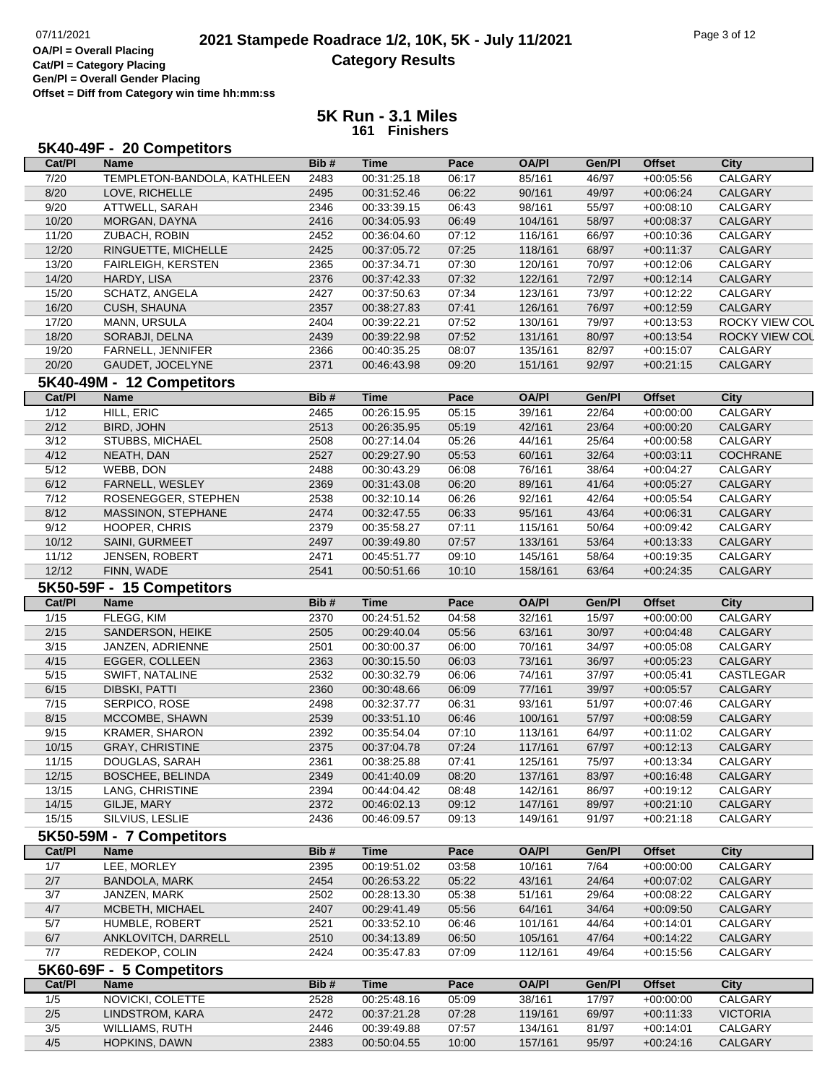**OA/Pl = Overall Placing Cat/Pl = Category Placing Gen/Pl = Overall Gender Placing Offset = Diff from Category win time hh:mm:ss**

| Cat/PI         | <b>Name</b>                 | Bib# | <b>Time</b> | Pace  | <b>OA/PI</b> | Gen/Pl | <b>Offset</b> | <b>City</b>     |
|----------------|-----------------------------|------|-------------|-------|--------------|--------|---------------|-----------------|
|                |                             |      |             |       |              |        |               |                 |
| 7/20           | TEMPLETON-BANDOLA, KATHLEEN | 2483 | 00:31:25.18 | 06:17 | 85/161       | 46/97  | $+00:05:56$   | CALGARY         |
| 8/20           | LOVE, RICHELLE              | 2495 | 00:31:52.46 | 06:22 | 90/161       | 49/97  | $+00:06:24$   | <b>CALGARY</b>  |
| 9/20           | ATTWELL, SARAH              | 2346 | 00:33:39.15 | 06:43 | 98/161       | 55/97  | $+00:08:10$   | CALGARY         |
| 10/20          | MORGAN, DAYNA               | 2416 | 00:34:05.93 | 06:49 | 104/161      | 58/97  | $+00:08:37$   | CALGARY         |
| 11/20          | ZUBACH, ROBIN               | 2452 | 00:36:04.60 | 07:12 | 116/161      | 66/97  | $+00:10:36$   | CALGARY         |
| 12/20          | RINGUETTE, MICHELLE         | 2425 | 00:37:05.72 | 07:25 | 118/161      | 68/97  | $+00:11:37$   | CALGARY         |
| 13/20          | <b>FAIRLEIGH, KERSTEN</b>   | 2365 | 00:37:34.71 | 07:30 | 120/161      | 70/97  | $+00:12:06$   | CALGARY         |
| 14/20          | HARDY, LISA                 | 2376 | 00:37:42.33 | 07:32 | 122/161      | 72/97  | $+00:12:14$   | CALGARY         |
| 15/20          | SCHATZ, ANGELA              | 2427 | 00:37:50.63 | 07:34 | 123/161      | 73/97  | $+00:12:22$   | CALGARY         |
| 16/20          | <b>CUSH, SHAUNA</b>         | 2357 | 00:38:27.83 | 07:41 | 126/161      | 76/97  | $+00:12:59$   | CALGARY         |
| 17/20          | MANN, URSULA                | 2404 | 00:39:22.21 | 07:52 | 130/161      | 79/97  | $+00:13:53$   | ROCKY VIEW COL  |
| 18/20          | SORABJI, DELNA              | 2439 | 00:39:22.98 | 07:52 | 131/161      | 80/97  | $+00:13:54$   | ROCKY VIEW COL  |
|                |                             |      |             |       |              |        |               |                 |
| 19/20          | FARNELL, JENNIFER           | 2366 | 00:40:35.25 | 08:07 | 135/161      | 82/97  | $+00:15:07$   | CALGARY         |
| 20/20          | GAUDET, JOCELYNE            | 2371 | 00:46:43.98 | 09:20 | 151/161      | 92/97  | $+00:21:15$   | CALGARY         |
|                | 5K40-49M - 12 Competitors   |      |             |       |              |        |               |                 |
| Cat/PI         | <b>Name</b>                 | Bib# | <b>Time</b> | Pace  | <b>OA/PI</b> | Gen/Pl | <b>Offset</b> | <b>City</b>     |
| $\frac{1}{12}$ | HILL, ERIC                  | 2465 | 00:26:15.95 | 05:15 | 39/161       | 22/64  | $+00:00:00$   | CALGARY         |
| 2/12           | BIRD, JOHN                  | 2513 | 00:26:35.95 | 05:19 | 42/161       | 23/64  | $+00:00:20$   | CALGARY         |
| 3/12           | STUBBS, MICHAEL             | 2508 | 00:27:14.04 | 05:26 | 44/161       | 25/64  | $+00:00:58$   | CALGARY         |
| 4/12           | NEATH, DAN                  | 2527 | 00:29:27.90 | 05:53 | 60/161       | 32/64  | $+00:03:11$   | COCHRANE        |
| 5/12           | WEBB, DON                   | 2488 | 00:30:43.29 | 06:08 | 76/161       | 38/64  | $+00:04:27$   | CALGARY         |
| 6/12           | FARNELL, WESLEY             | 2369 | 00:31:43.08 | 06:20 | 89/161       | 41/64  | $+00:05:27$   | CALGARY         |
| 7/12           |                             | 2538 |             |       |              | 42/64  |               |                 |
|                | ROSENEGGER, STEPHEN         |      | 00:32:10.14 | 06:26 | 92/161       |        | $+00:05:54$   | CALGARY         |
| 8/12           | MASSINON, STEPHANE          | 2474 | 00:32:47.55 | 06:33 | 95/161       | 43/64  | $+00:06:31$   | CALGARY         |
| 9/12           | HOOPER, CHRIS               | 2379 | 00:35:58.27 | 07:11 | 115/161      | 50/64  | $+00:09:42$   | CALGARY         |
| 10/12          | SAINI, GURMEET              | 2497 | 00:39:49.80 | 07:57 | 133/161      | 53/64  | $+00:13:33$   | CALGARY         |
| 11/12          | JENSEN, ROBERT              | 2471 | 00:45:51.77 | 09:10 | 145/161      | 58/64  | $+00:19:35$   | CALGARY         |
| 12/12          | FINN, WADE                  | 2541 | 00:50:51.66 | 10:10 | 158/161      | 63/64  | $+00:24:35$   | CALGARY         |
|                | 5K50-59F - 15 Competitors   |      |             |       |              |        |               |                 |
|                |                             | Bib# | <b>Time</b> | Pace  | <b>OA/PI</b> | Gen/Pl | <b>Offset</b> | <b>City</b>     |
| Cat/PI         |                             |      |             |       |              |        |               |                 |
|                | <b>Name</b>                 |      |             |       |              |        |               |                 |
| 1/15           | FLEGG, KIM                  | 2370 | 00:24:51.52 | 04:58 | 32/161       | 15/97  | $+00:00:00$   | <b>CALGARY</b>  |
| 2/15           | SANDERSON, HEIKE            | 2505 | 00:29:40.04 | 05:56 | 63/161       | 30/97  | $+00:04:48$   | CALGARY         |
| 3/15           | JANZEN, ADRIENNE            | 2501 | 00:30:00.37 | 06:00 | 70/161       | 34/97  | $+00:05:08$   | CALGARY         |
| 4/15           | EGGER, COLLEEN              | 2363 | 00:30:15.50 | 06:03 | 73/161       | 36/97  | $+00:05:23$   | CALGARY         |
| 5/15           | SWIFT, NATALINE             | 2532 | 00:30:32.79 | 06:06 | 74/161       | 37/97  | $+00:05:41$   | CASTLEGAR       |
| 6/15           | DIBSKI, PATTI               | 2360 | 00:30:48.66 | 06:09 | 77/161       | 39/97  | $+00:05:57$   | CALGARY         |
| 7/15           | SERPICO, ROSE               | 2498 | 00:32:37.77 | 06:31 | 93/161       | 51/97  | $+00:07:46$   | CALGARY         |
| 8/15           | MCCOMBE, SHAWN              | 2539 | 00:33:51.10 | 06:46 | 100/161      | 57/97  | $+00:08:59$   | CALGARY         |
| 9/15           | KRAMER, SHARON              | 2392 | 00:35:54.04 | 07:10 | 113/161      | 64/97  | $+00:11:02$   | CALGARY         |
| 10/15          | <b>GRAY, CHRISTINE</b>      | 2375 | 00:37:04.78 | 07:24 | 117/161      | 67/97  | $+00:12:13$   | CALGARY         |
| 11/15          | DOUGLAS, SARAH              | 2361 | 00:38:25.88 | 07:41 | 125/161      | 75/97  | $+00:13:34$   | CALGARY         |
|                |                             |      | 00:41:40.09 |       | 137/161      | 83/97  | $+00:16:48$   |                 |
| 12/15          | BOSCHEE, BELINDA            | 2349 |             | 08:20 |              |        |               | CALGARY         |
| 13/15          | LANG, CHRISTINE             | 2394 | 00:44:04.42 | 08:48 | 142/161      | 86/97  | $+00:19:12$   | CALGARY         |
| 14/15          | GILJE, MARY                 | 2372 | 00:46:02.13 | 09:12 | 147/161      | 89/97  | $+00:21:10$   | CALGARY         |
| 15/15          | SILVIUS, LESLIE             | 2436 | 00:46:09.57 | 09:13 | 149/161      | 91/97  | $+00:21:18$   | CALGARY         |
|                | 5K50-59M - 7 Competitors    |      |             |       |              |        |               |                 |
| Cat/PI         | <b>Name</b>                 | Bib# | <b>Time</b> | Pace  | <b>OA/PI</b> | Gen/Pl | <b>Offset</b> | <b>City</b>     |
| 1/7            | LEE, MORLEY                 | 2395 | 00:19:51.02 | 03:58 | 10/161       | 7/64   | $+00:00:00$   | CALGARY         |
| 2/7            | <b>BANDOLA, MARK</b>        | 2454 | 00:26:53.22 | 05:22 | 43/161       | 24/64  | $+00:07:02$   | <b>CALGARY</b>  |
| 3/7            | JANZEN, MARK                | 2502 | 00:28:13.30 | 05:38 | 51/161       | 29/64  | $+00:08:22$   | CALGARY         |
| 4/7            | MCBETH, MICHAEL             | 2407 | 00:29:41.49 | 05:56 | 64/161       | 34/64  | $+00:09:50$   | CALGARY         |
|                | HUMBLE, ROBERT              |      |             | 06:46 |              |        | $+00:14:01$   |                 |
| 5/7            |                             | 2521 | 00:33:52.10 |       | 101/161      | 44/64  |               | CALGARY         |
| 6/7            | ANKLOVITCH, DARRELL         | 2510 | 00:34:13.89 | 06:50 | 105/161      | 47/64  | $+00:14:22$   | CALGARY         |
| 7/7            | REDEKOP, COLIN              | 2424 | 00:35:47.83 | 07:09 | 112/161      | 49/64  | $+00:15:56$   | CALGARY         |
|                | 5K60-69F - 5 Competitors    |      |             |       |              |        |               |                 |
| Cat/PI         | <b>Name</b>                 | Bib# | <b>Time</b> | Pace  | <b>OA/PI</b> | Gen/Pl | <b>Offset</b> | City            |
| 1/5            | NOVICKI, COLETTE            | 2528 | 00:25:48.16 | 05:09 | 38/161       | 17/97  | $+00:00:00$   | CALGARY         |
| $2/5$          | LINDSTROM, KARA             | 2472 | 00:37:21.28 | 07:28 | 119/161      | 69/97  | $+00:11:33$   | <b>VICTORIA</b> |
| 3/5            | WILLIAMS, RUTH              | 2446 | 00:39:49.88 | 07:57 | 134/161      | 81/97  | $+00:14:01$   | CALGARY         |